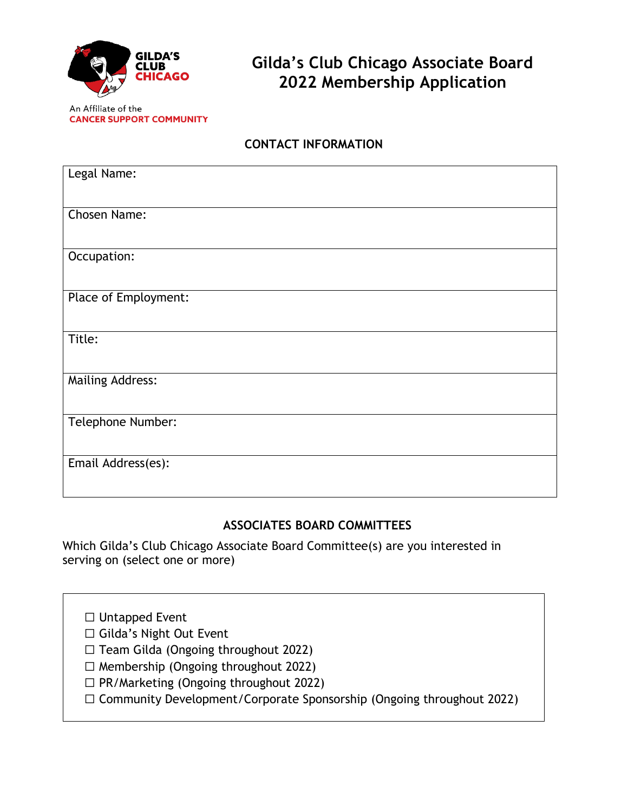

# **Gilda's Club Chicago Associate Board 2022 Membership Application**

An Affiliate of the **CANCER SUPPORT COMMUNITY** 

## **CONTACT INFORMATION**

| Legal Name:             |
|-------------------------|
|                         |
| Chosen Name:            |
| Occupation:             |
| Place of Employment:    |
| Title:                  |
| <b>Mailing Address:</b> |
| Telephone Number:       |
| Email Address(es):      |

### **ASSOCIATES BOARD COMMITTEES**

Which Gilda's Club Chicago Associate Board Committee(s) are you interested in serving on (select one or more)

☐ Untapped Event

☐ Gilda's Night Out Event

☐ Team Gilda (Ongoing throughout 2022)

- $\Box$  Membership (Ongoing throughout 2022)
- ☐ PR/Marketing (Ongoing throughout 2022)
- ☐ Community Development/Corporate Sponsorship (Ongoing throughout 2022)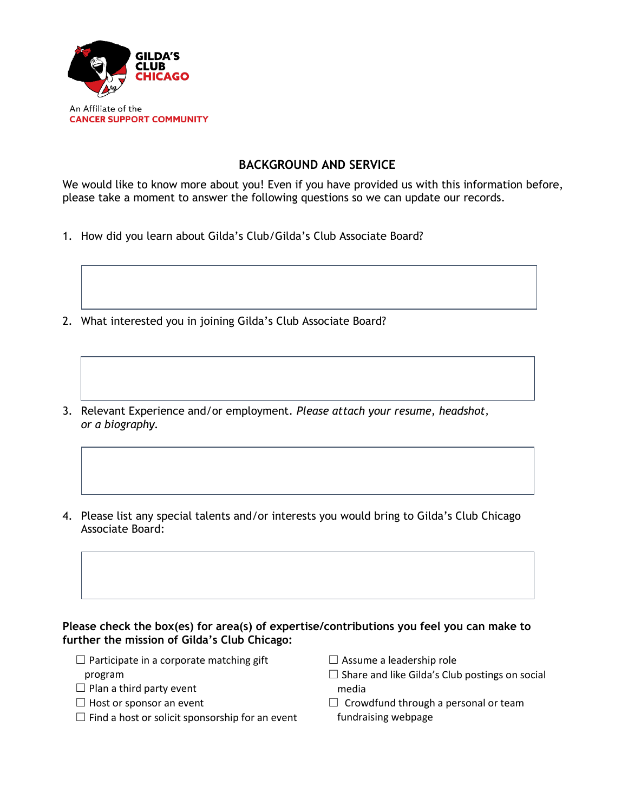

#### **BACKGROUND AND SERVICE**

We would like to know more about you! Even if you have provided us with this information before, please take a moment to answer the following questions so we can update our records.

- 1. How did you learn about Gilda's Club/Gilda's Club Associate Board?
- 2. What interested you in joining Gilda's Club Associate Board?
- 3. Relevant Experience and/or employment. *Please attach your resume, headshot, or a biography.*
- 4. Please list any special talents and/or interests you would bring to Gilda's Club Chicago Associate Board:

#### **Please check the box(es) for area(s) of expertise/contributions you feel you can make to further the mission of Gilda's Club Chicago:**

- $\Box$  Participate in a corporate matching gift program
- $\Box$  Plan a third party event
- $\Box$  Host or sponsor an event
- $\Box$  Find a host or solicit sponsorship for an event
- $\Box$  Assume a leadership role
- $\square$  Share and like Gilda's Club postings on social media
- $\Box$  Crowdfund through a personal or team fundraising webpage